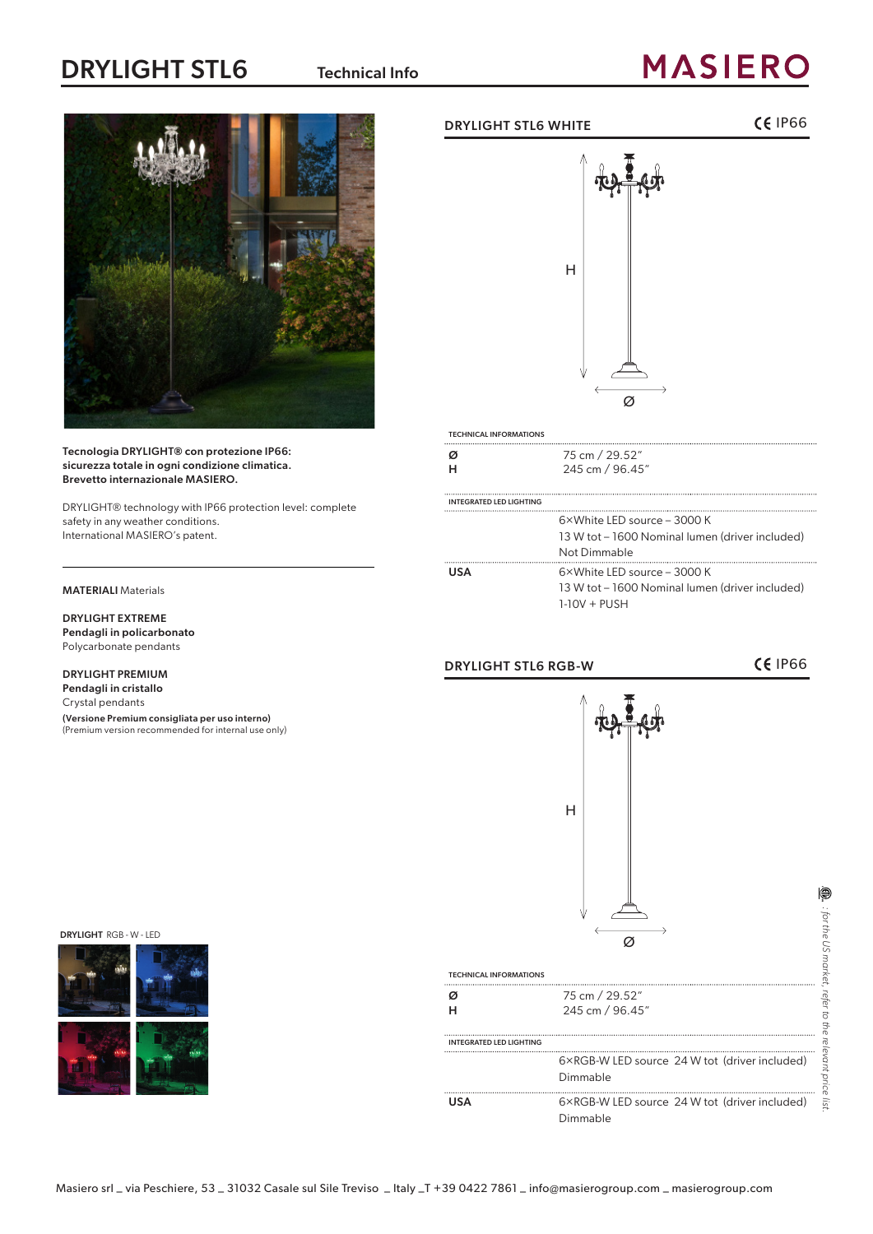## DRYLIGHT STL6 Technical Info

# **MASIERO**



#### Tecnologia DRYLIGHT® con protezione IP66: sicurezza totale in ogni condizione climatica. Brevetto internazionale MASIERO.

DRYLIGHT® technology with IP66 protection level: complete safety in any weather conditions. International MASIERO's patent.

### MATERIALI Materials

DRYLIGHT EXTREME Pendagli in policarbonato Polycarbonate pendants

### DRYLIGHT PREMIUM

Pendagli in cristallo Crystal pendants (Versione Premium consigliata per uso interno) (Premium version recommended for internal use only)

### DRYLIGHT STL6 WHITE **IP66**



| <b>TECHNICAL INFORMATIONS</b>  |                                                 |
|--------------------------------|-------------------------------------------------|
| Ø                              | 75 cm / 29.52"                                  |
| н                              | 245 cm / 96.45"                                 |
| <b>INTEGRATED LED LIGHTING</b> |                                                 |
|                                | 6×White LED source - 3000 K                     |
|                                | 13 W tot – 1600 Nominal lumen (driver included) |
|                                | Not Dimmable                                    |
| <b>USA</b>                     | $6 \times$ White LED source – 3000 K            |
|                                | 13 W tot – 1600 Nominal lumen (driver included) |
|                                | $1-10V + PUSH$                                  |
|                                |                                                 |

### DRYLIGHT STL6 RGB-W GENERAL CERTIFIES

*: for the US market, refer to the relevant price list.*

price  $\frac{1}{2}$ 

: for the US market, refer to the relevant

⊜

DRYLIGHT RGB - W - LED